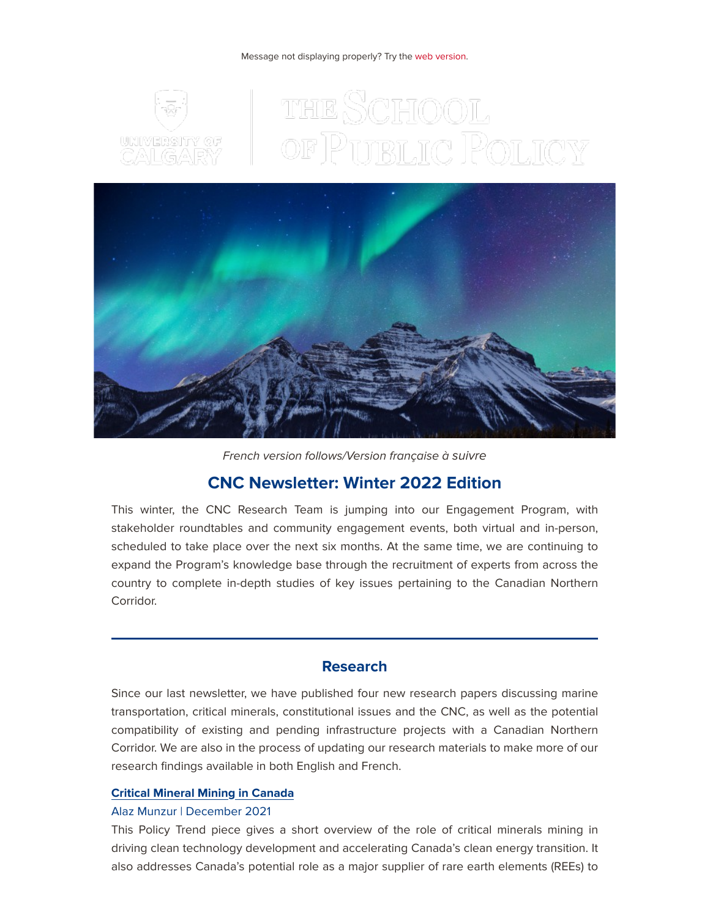#### Message not displaying properly? Try the [web version.](https://em.ucalgary.ca/ol/h09VdMTNdlhd6BYgutO1DPC0z3iYKMv76fEwRKa-hJ9pgQVuYOPLdQyi0IMGSsB0aPqZCAZNQ9ZlyQgFSqaGct0QvPBUDxy3VTLzme_dboFCdK1TycJg86-kynlLqdzEh1XIVB5XESY6MVXEL7wogT7sA4UuAlLQqi-WbddlmTAcl7xZkNTt/j09RdMPHK1lNoVdlsbPWJaajijbBdp-pqaUzCvap28E63FAwYuTfd0TiidpdU5c_ZOCSNgcSBZlk11NVEfSqaI9Lp9hpMlmebWLStKiKOqJ6UJVS_eZCp4Sh0DUPpciYmErtG0kLbX9rdSO0WZR0ux7VCIoQTDCs-3fXIYA0ugIqnOox5KGadJqOo2O37FGLxzuXGWZX1Ne873fkXoo-tPsg8nUH-Ag0auem2Rf-1O5ojXcc--FOqC5opPZ1Gch42SCPcRPa)



# THE SCHOOL<br>of Public Policy



French version follows/Version française à suivre

# CNC Newsletter: Winter 2022 Edition

This winter, the CNC Research Team is jumping into our Engagement Program, with stakeholder roundtables and community engagement events, both virtual and in-person, scheduled to take place over the next six months. At the same time, we are continuing to expand the Program's knowledge base through the recruitment of experts from across the country to complete in-depth studies of key issues pertaining to the Canadian Northern Corridor.

## Research

Since our last newsletter, we have published four new research papers discussing marine transportation, critical minerals, constitutional issues and the CNC, as well as the potential compatibility of existing and pending infrastructure projects with a Canadian Northern Corridor. We are also in the process of updating our research materials to make more of our research findings available in both English and French.

## [Critical Mineral Mining in Canada](https://em.ucalgary.ca/ol/h09VcMbMdlhd6BYgutO1DPC0z3iYKMv76fEwRKa-hJ9pgQVuYOPLdQyi0IMGSsB0aPqZCAZNQ9ZlyQgFSqaGct0QvPBUDxy3VTLzme_dboFCdK1TycJg86-kynlLqdzEh1XIVB5XESY6MVXEL7wogT7sA4UuAlHXrC-QZ99lmTAcl7xZkNTt/jEhXdMXNI1lNoVdlsbPWNb760SXPdpGroq9-Afjp3oE92AdpYqHMN0_7jd1FU4ciaeafBRFfQcAzkUMJSK-7X9ISt9xTDVOzSy_tlaLOep9LPIR80Mhi5uWRymULrs7MgljKVkIFVE54aw3ARIsZnBHSab0XVlPS1U_gFKYCuwtQqbkMg5ikaKm-7VKy80Hr4jKfEXhNz5WkyW6EFqp5qPwAs1cw70cAV8LvtAD18Y0sgBxj5ftumFFE-OVfF-NY9jSMdXyx99vXY8kjdpaiyPDlu60TTSch2cgKKknfJGKWPY3KcyVI8AO1pTMXBgI,)

#### Alaz Munzur | December 2021

This Policy Trend piece gives a short overview of the role of critical minerals mining in driving clean technology development and accelerating Canada's clean energy transition. It also addresses Canada's potential role as a major supplier of rare earth elements (REEs) to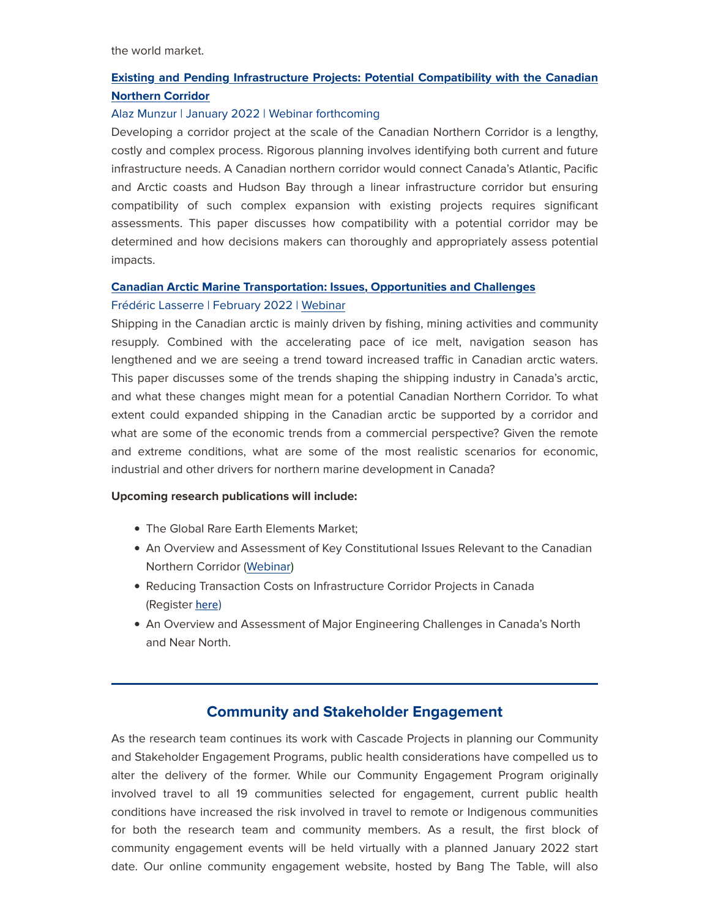## [Existing and Pending Infrastructure Projects: Potential Compatibility with the Canadian](https://em.ucalgary.ca/ol/h09VdsXOdlhd6BYgutO1DPC0z3iYKMv76fEwRKa-hJ9pgQVuYOPLdQyi0IMGSsB0aPqZCAZNQ9ZlyQgFSqaGct0QvPBUDxy3VTLzme_dboFCdK1TycJg86-kynlLqdzEh1XIVB5XESY6MVXEL7wogT7sA4UuAlHWqiKQbd9lmTAcl7xZkNTt/jElRecXHI1lNoVdlsbPWNb760SXPdpGroq9-Afjp3oE92AdpYqHMN0_7jd1FU4ciaeafBRFfQcAzkkMIS6-7X9IXxdxTDVOzSy_tlaLOep9LPIRh08tk_Ly2500QpMeXgBGeR18KRi5hbxKifbAr2RDTCYgPalqqznKRYKgXvQkppJonjr6vdea-9Ga6_1Ln_jOLGV969eSy2nfoM7pYo80yrHIP6VwwaefhxR_l2-sQmxUK_MVN1Qx47-k_C8dxzSSjbjLE4aSgHfs6bZmT3dbRrKU7eBlnsacXbTycDQqUAYehXBB2oxmLrzQoCAhoCQdj) [Northern Corridor](https://em.ucalgary.ca/ol/h09VdsXOdlhd6BYgutO1DPC0z3iYKMv76fEwRKa-hJ9pgQVuYOPLdQyi0IMGSsB0aPqZCAZNQ9ZlyQgFSqaGct0QvPBUDxy3VTLzme_dboFCdK1TycJg86-kynlLqdzEh1XIVB5XESY6MVXEL7wogT7sA4UuAlHWqiKQbd9lmTAcl7xZkNTt/jElRecXHI1lNoVdlsbPWNb760SXPdpGroq9-Afjp3oE92AdpYqHMN0_7jd1FU4ciaeafBRFfQcAzkkMIS6-7X9IXxdxTDVOzSy_tlaLOep9LPIRh08tk_Ly2500QpMeXgBGeR18KRi5hbxKifbAr2RDTCYgPalqqznKRYKgXvQkppJonjr6vdea-9Ga6_1Ln_jOLGV969eSy2nfoM7pYo80yrHIP6VwwaefhxR_l2-sQmxUK_MVN1Qx47-k_C8dxzSSjbjLE4aSgHfs6bZmT3dbRrKU7eBlnsacXbTycDQqUAYehXBB2oxmLrzQoCAhoCQdj)

### Alaz Munzur | January 2022 | Webinar forthcoming

Developing a corridor project at the scale of the Canadian Northern Corridor is a lengthy, costly and complex process. Rigorous planning involves identifying both current and future infrastructure needs. A Canadian northern corridor would connect Canada's Atlantic, Pacific and Arctic coasts and Hudson Bay through a linear infrastructure corridor but ensuring compatibility of such complex expansion with existing projects requires significant assessments. This paper discusses how compatibility with a potential corridor may be determined and how decisions makers can thoroughly and appropriately assess potential impacts.

#### [Canadian Arctic Marine Transportation: Issues, Opportunities and Challenges](https://em.ucalgary.ca/ol/h09Vc8HMdlhd6BYgutO1DPC0z3iYKMv76fEwRKa-hJ9pgQVuYOPLdQyi0IMGSsB0aPqZCAZNQ9ZlyQgFSqaGct0QvPBUDxy3VTLzme_dboFCdK1TycJg86-kynlLqdzEh1XIVB5XESY6MVXEL7wogT7sA4UuAlHXoy-SZNBlmTAcl7xZkNTt/jEhYdMfOLFlNoVdlsbPWNb760SXPdpGroq9-Afjp3oE92AdpYqHMN0_7jd1FU4ciaeafBRFfQcAzkkMISK-7X9IYxdhcGUi8XXbLkqDUfJ1BY6ByyMhu8ZeJ2XMWr8-QlxLcDUlRTXp4WxKSYuINsAT_HKV6cjeOqi7uAaYCvQkvpuUo0pr-d7yh4Xm21FbA6RiAM0BYzfGwvmOfPqFwqMQylEAo_kQhasbcwSyQ944WmC8Sz7RnmgV6u9d8OeRfyiOfeSHIvN3rG8dCY_iGs_KqruouPyQVspN8NkqADlW-Nq-qfnB79iqNhgwLNxRZHw,,)

## Frédéric Lasserre | February 2022 | [W](https://em.ucalgary.ca/ol/h09UdMDOdlhd6BYgutO1DPC0z3iYKMv76fEwRKa-hJ9pgQVuYOPLdQyi0IMGSsB0aPqZCAZNQ9ZlyQgFSqaGct0QvPBUDxy3VTLzme_dboFCdK1TycJg86-kynlLqdzEh1XIVB5XESY6MVXEL7wogT7sA4UuAlLTry6ZbNJlmTAcl7xZkNTt/j0xUdczGLllNoVdlsbPWO6b4iyCOeJ3ngZUpJcPc_vwKihAhf-fbB1Xgg458KKsqSdzHLDYZQ8VO9C15O8GyX9hs_v0IAU6nQjHpobPcaqBAdqVW9fFKq5eG6lgfmc6xuV3AH1sJV1dGRh_KXI0TtTTOCsgzSBqSt1DPLKoUthgeorgvjsC4KZyY2j6U1lSe_iKJZGtf3dfJp3jtK5dnovIzuBMu72knbdnF5Rrw-w,,)[ebinar](https://em.ucalgary.ca/ol/h09VdsHJdlhd6BYgutO1DPC0z3iYKMv76fEwRKa-hJ9pgQVuYOPLdQyi0IMGSsB0aPqZCAZNQ9ZlyQgFSqaGct0QvPBUDxy3VTLzme_dboFCdK1TycJg86-kynlLqdzEh1XIVB5XESY6MVXEL7wogT7sA4UuAlLTry6ZZ9NlmTAcl7xZkNTt/j0xUdczNL1lNoVdlsbPWO6b4iyCOeJ3ngZUpJcPc_vwKihAhf-fbB1Xgg458KKsqSdzHLDYZQ8VO9C15O8GyX9hs_v0IAU6nQjHpobPcaqBAdqVW9fFKq5eG6lgfmc6xuV3AH1sJV1dGRh_KXI0TtTTOCsgzSBqSt1DPLKoUthgeorgvjsC4KZyY2j6U1lSe_iKJZGtf3dfJp3jtK5dnovIzuBMu72knbdnF5Rrw-w,,)

Shipping in the Canadian arctic is mainly driven by fishing, mining activities and community resupply. Combined with the accelerating pace of ice melt, navigation season has lengthened and we are seeing a trend toward increased traffic in Canadian arctic waters. This paper discusses some of the trends shaping the shipping industry in Canada's arctic, and what these changes might mean for a potential Canadian Northern Corridor. To what extent could expanded shipping in the Canadian arctic be supported by a corridor and what are some of the economic trends from a commercial perspective? Given the remote and extreme conditions, what are some of the most realistic scenarios for economic, industrial and other drivers for northern marine development in Canada?

#### Upcoming research publications will include:

- The Global Rare Earth Elements Market;
- An Overview and Assessment of Key Constitutional Issues Relevant to the Canadian Northern Corridor [\(Webinar\)](https://em.ucalgary.ca/ol/h09Udc3Mdlhd6BYgutO1DPC0z3iYKMv76fEwRKa-hJ9pgQVuYOPLdQyi0IMGSsB0aPqZCAZNQ9ZlyQgFSqaGct0QvPBUDxy3VTLzme_dboFCdK1TycJg86-kynlLqdzEh1XIVB5XESY6MVXEL7wogT7sA4UuAlLTrCKSbdBlmTAcl7xZkNTt/j0xXecfHLFlNoVdlsbPWO6b4iyCOeJ3nmIpHIs3Q_8MK8Vshf-fbB1Xgg458KKsqSdzHLDYZQ8VO9C15O8GyX9hs_v0IAU6nQjHpobPcaqBAdqVW9fFKq5eG6lgfmc6xuV3AH1sJV1dGRh_KXI0TtTTOCsgzSBqSt1DPLKoUthgeorgvjsC4KZyY2j6U1lSe_iKJZGtf3dfJp3jtK5dnovIzuBMu72knbdnF5Rrw-w,,)
- Reducing Transaction Costs on Infrastructure Corridor Projects in Canada (Register [here\)](https://em.ucalgary.ca/ol/h09Udc3Mdlhd6BYgutO1DPC0z3iYKMv76fEwRKa-hJ9pgQVuYOPLdQyi0IMGSsB0aPqZCAZNQ9ZlyQgFSqaGct0QvPBUDxy3VTLzme_dboFCdK1TycJg86-kynlLqdzEh1XIVB5XESY6MVXEL7wogT7sA4UuAlHVoiKRbN9lmTAcl7xZkNTt/jEpZecTGI1lNoVdlsbPWNb760SXPdpGroq9-Afjp3oE92Ad7ZOnBLFKgmtZVCZE7a-7TFRARHYNgwxhRFe7Yf49T7uYQBE__UTX5kqDJe59bcqBmzsQs_Ke3ymkBpc_Pgk7DA0oNVGIhbQjQar4uhTnmf88uVBe47nTKaKoXpTAksOQp4pv7KJyA2lKB1GPltBmKPAR369SB4EqdHp9vttkGrmQN2HtyQsPE2y_00Y8OqCot4etgqzZN76tHEvpZ6TqzBjT0_Zq1ZOZ3b4KYoPTVudZxPQ1jpKkPNlryOQOhGI3IQwBI50HBsmQfPzZXAwJdW-UpqxGVhEhcWNw3)
- An Overview and Assessment of Major Engineering Challenges in Canada's North and Near North.

## Community and Stakeholder Engagement

As the research team continues its work with Cascade Projects in planning our Community and Stakeholder Engagement Programs, public health considerations have compelled us to alter the delivery of the former. While our Community Engagement Program originally involved travel to all 19 communities selected for engagement, current public health conditions have increased the risk involved in travel to remote or Indigenous communities for both the research team and community members. As a result, the first block of community engagement events will be held virtually with a planned January 2022 start date. Our online community engagement website, hosted by Bang The Table, will also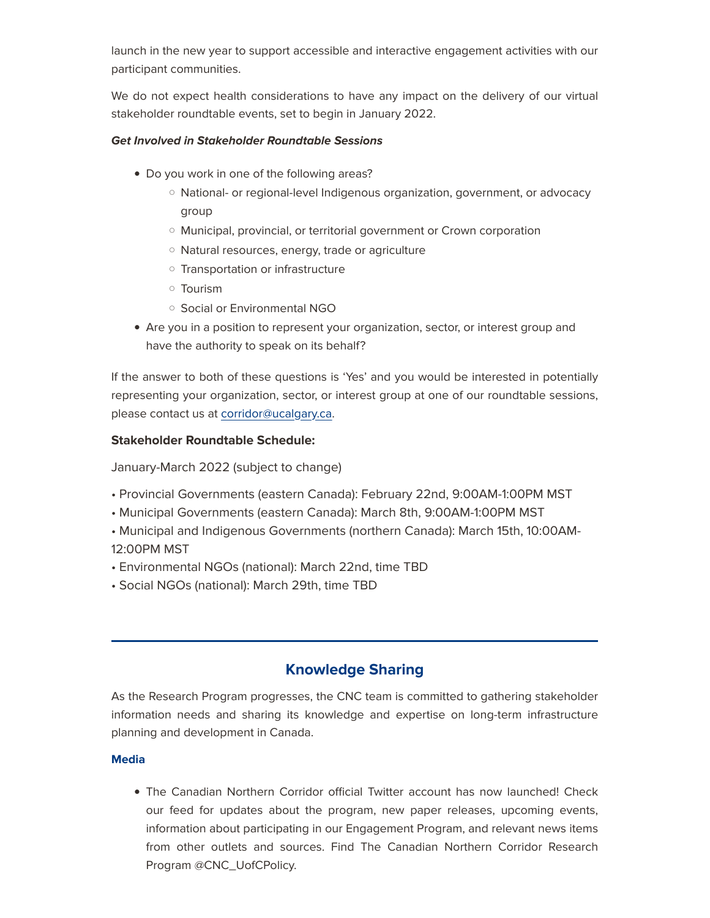launch in the new year to support accessible and interactive engagement activities with our participant communities.

We do not expect health considerations to have any impact on the delivery of our virtual stakeholder roundtable events, set to begin in January 2022.

## Get Involved in Stakeholder Roundtable Sessions

- Do you work in one of the following areas?
	- National- or regional-level Indigenous organization, government, or advocacy group
	- Municipal, provincial, or territorial government or Crown corporation
	- Natural resources, energy, trade or agriculture
	- Transportation or infrastructure
	- Tourism
	- Social or Environmental NGO
- Are you in a position to represent your organization, sector, or interest group and have the authority to speak on its behalf?

If the answer to both of these questions is 'Yes' and you would be interested in potentially representing your organization, sector, or interest group at one of our roundtable sessions, please contact us at [corridor@ucalgary.ca.](https://em.ucalgary.ca/ol/h09UdcfNdlhd6BYgutO1DPC0z3iYKMv76fEwRKa-hJ9pgQVuYOPLdQyi0IMGSsB0aPqZCAZNQ9ZlyQgFSqaGct0QvPBUDxy3VTLzme_dboFCdK1TycJg86-kynlLqdzEh1XIVB5XESY6MVXEL7wogT7sA4UuAlLToiOZZ9BlmTAcl7xZkNTt/j0xZeMzNLFxYvEti5KaaLbv_ljHPaLi9uL1xDvb0y4E92BdzefjwLE7k1f5lJYoeULCzNQtARr9V4S15O8e2JKxE8qBXBFSoUi3ekqffQoNJYJFa7Oo1wIuX4Ho2ue6pk1DaHUgZZltOfVGoW4wRjRTdaIA0RhbK0XXYGLAJrD4vgJZchIH_Up-VtkeD5RzU-zLeDnNE8pPWzg2bApRTvuUG7Usj0VE2RNPwzAL-)

## Stakeholder Roundtable Schedule:

January-March 2022 (subject to change)

- Provincial Governments (eastern Canada): February 22nd, 9:00AM-1:00PM MST
- Municipal Governments (eastern Canada): March 8th, 9:00AM-1:00PM MST
- Municipal and Indigenous Governments (northern Canada): March 15th, 10:00AM-12:00PM MST
- Environmental NGOs (national): March 22nd, time TBD
- Social NGOs (national): March 29th, time TBD

# Knowledge Sharing

As the Research Program progresses, the CNC team is committed to gathering stakeholder information needs and sharing its knowledge and expertise on long-term infrastructure planning and development in Canada.

## Media

• The Canadian Northern Corridor official Twitter account has now launched! Check our feed for updates about the program, new paper releases, upcoming events, information about participating in our Engagement Program, and relevant news items from other outlets and sources. Find The Canadian Northern Corridor Research Program @CNC\_UofCPolicy.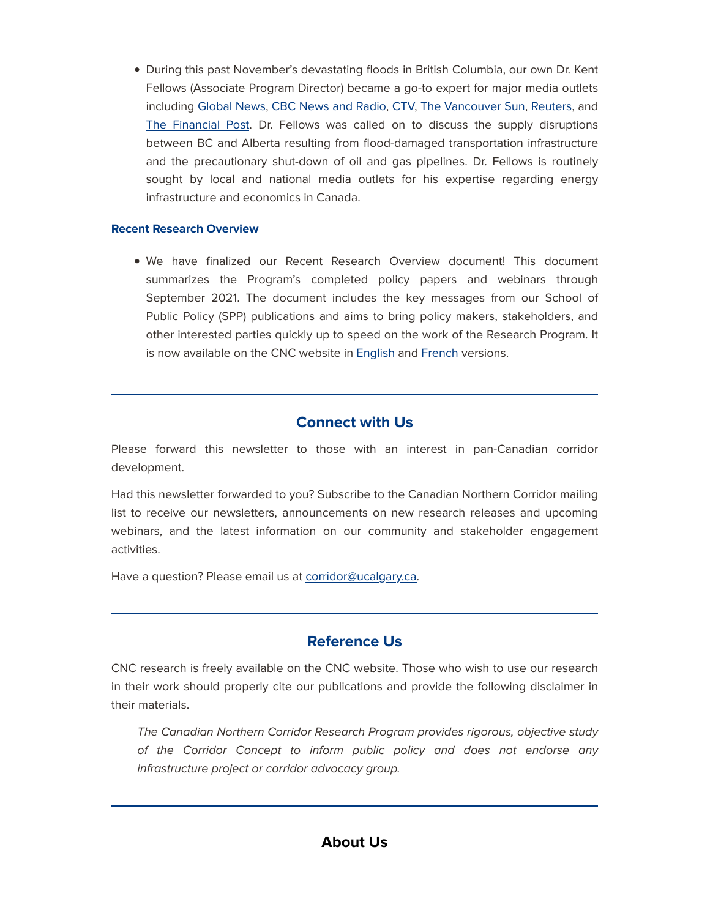• During this past November's devastating floods in British Columbia, our own Dr. Kent Fellows (Associate Program Director) became a go-to expert for major media outlets including [Global News,](https://em.ucalgary.ca/ol/h09Vd8DIdlhd6BYgutO1DPC0z3iYKMv76fEwRKa-hJ9pgQVuYOPLdQyi0IMGSsB0aPqZCAZNQ9ZlyQgFSqaGct0QvPBUDxy3VTLzme_dboFCdK1TycJg86-kynlLqdzEh1XIVB5XESY6MVXEL7wogT7sA4UuAlLeriqRYt9lmTAcl7xZkNTt/j0FVccTII1lNoVdlsbPWJaXinTTMdJ2_qPJ-CLjo19gtlhAtKryeaBmgitAcGp49au2XDwVdFZ9uxEFfG_PYb4hP6OFcDEShFSjqkLHWdsBNebV60o4-8qOx53QKoYCvpmXUJXpXbUVlNFOyXZ4BpRzAE8gPWwvS8HTUL401vToOgJAK0YOOVIOfr0yDx3zc3ya9H1Bx8tWc_XqWLoA9ruUyjkgN0gg2avnjrh7J25ESgxYt0ulc1U58otNeAYRcwwPRTDPktLXadv48D5Hjt-z_hdgbaEw9jLwva1fiL3SENg,,) [CBC News and Radio,](https://em.ucalgary.ca/ol/h09SccLHdlhd6BYgutO1DPC0z3iYKMv76fEwRKa-hJ9pgQVuYOPLdQyi0IMGSsB0aPqZCAZNQ9ZlyQgFSqaGct0QvPBUDxy3VTLzme_dboFCdK1TycJg86-kynlLqdzEh1XIVB5XESY6MVXEL7wogT7sA4UuAlHXriuQYtdlmTAcl7xZkNTt/jEhVcMXIK1lNoVdlsbPWNb760TbCedaruvNzDOD1ncw_10l6c6PMOU3oicFIU5B_ZqSYDQ0fF5lvx0FcE_OUb5RF6LhOHlGiVCKyg6nbZoMDcLhx2dN1_uX0ljZX_4_RywmTBEQaf2Vjb1uwXYY4qAi-HaQqD1aozlrgFKYEv3AkgbVR3J2-Z7mi2mGm8GnI6ySrHWFWsP642GSmP4pZsNYNqVUj_3YMX_mh1gf087UMk34r4vViwDdh79FFCvl-xxaiBnbwsKDUbqVaYaXqgvX17McLVghlxqF_XGDcEH6BCNiSfhtw4Sq_kBoPCA,,) [CTV,](https://em.ucalgary.ca/ol/h09VdMbHdlhd6BYgutO1DPC0z3iYKMv76fEwRKa-hJ9pgQVuYOPLdQyi0IMGSsB0aPqZCAZNQ9ZlyQgFSqaGct0QvPBUDxy3VTLzme_dboFCdK1TycJg86-kynlLqdzEh1XIVB5XESY6MVXEL7wogT7sA4UuAlLRri-VZd9lmTAcl7xZkNTt/j05VdMDPI1lNoVdlsbPWJ63gkDvUdZbmuKhrB_LxwYE92Adoe-jKNx7shNpBNZZvN7rMVVJJRNZsyxhnDu-eIa10w-1xPhifbDKv1Y7uTqxvUJNQhO1l9_2v13UfoMujgFrJJEEJUVRFVC3JVpwSvCfUI6MIXg-R7nzWE60BhX89t44137uRJaOj4mbt3krfwQKkBEda4erDuE_oI7VL1uMirxk2_1d2R8LP9WeK5u0CpysC0N5w3xZoz_1iGfpuzySw) [The Vancouver Sun,](https://em.ucalgary.ca/ol/h09VcMzPdlhd6BYgutO1DPC0z3iYKMv76fEwRKa-hJ9pgQVuYOPLdQyi0IMGSsB0aPqZCAZNQ9ZlyQgFSqaGct0QvPBUDxy3VTLzme_dboFCdK1TycJg86-kynlLqdzEh1XIVB5XESY6MVXEL7wogT7sA4UuAlHUoy6SZNdlmTAcl7xZkNTt/jEtYdcfOK1lNoVdlsbPWNKjjnDrVbJ26qKlzR_Tp34A8zFt3fOncKw79jdVYEpcgfKSKCQMEXoN00BxUE-WGMYVT7vxQClW3XHbwjqSXe4VHY7A-08cs86ey3XJIp9yLnFDNB0tDR3B_KRSIZ6xtiyjzfZ8lEgCV73_EeIgqkHcFjqk7wp2gIJ6AwmuMwB3r2DzeYX5JxeC6y3ufVLVuk4ILsFQ-4kYHb-bzzjvA05kMmQ1vys9FtQZc5c9ZIcV-9BSeeA7B_djNfdtfS5yIyPLlpehkRBAuprIES3j2LHDrXZnMVg5QvCevhm0qJjw-HBJjH71jtkGis3ZjUtkJFCqzoSgz_Vwn-p9g) [Reuters,](https://em.ucalgary.ca/ol/h09VeMDPdlhd6BYgutO1DPC0z3iYKMv76fEwRKa-hJ9pgQVuYOPLdQyi0IMGSsB0aPqZCAZNQ9ZlyQgFSqaGct0QvPBUDxy3VTLzme_dboFCdK1TycJg86-kynlLqdzEh1XIVB5XESY6MVXEL7wogT7sA4UuAlHTriORY9BlmTAcl7xZkNTt/jExVeMTJLFlNoVdlsbPWNb760SfFb4ytqa8zCvjrndgxy0R6Pe3CPVPmi9JCU4I7deySCAwVXpZo0gFLV_OWboFN-PlYRlO3Sy_wkqSXfIhcZ71w2Yxg-bygyi0HuNSWm0_EREwBTGRhZg-cJLksizLjI90kXhDK6mnINoIw0XpY1-xJh8PmLOT7pH6r4XvS4z7TGWVE_O2us3GIBck_tOMgnmAFz3N-UeT-tj_I16Yvvwcp8-lagxt-09VCC51XwyGxRBfw16T5Q_56RaKUusDr68gbXC8-or92a3nIPBaYAZO1TghB5zSJvW1qIm9BChEXPcw-ygKSuitgVdIYFG2QyQ4tyVYE568L1I7BsD-oW37FCBk,) and [The Financial Post.](https://em.ucalgary.ca/ol/h09SecDIdlhd6BYgutO1DPC0z3iYKMv76fEwRKa-hJ9pgQVuYOPLdQyi0IMGSsB0aPqZCAZNQ9ZlyQgFSqaGct0QvPBUDxy3VTLzme_dboFCdK1TycJg86-kynlLqdzEh1XIVB5XESY6MVXEL7wogT7sA4UuAlHSriuSZ9FlmTAcl7xZkNTt/jE1VcMfNLVlNoVdlsbPWJKDjnjvDc5mkq7NuHbnl3cJx101pYaPKO07hh95IU5B_ZqSYDQ0fF5lvx0FbFfWZeM1C_7heCk-zXDrszaLVfJlCeLFgyIxl9ruky3QAuJCDgRHPHFtDT3dqKRaSe6ttizuqJpEtXAyS7H7TeJQtnToElvAXw4K7car5-Huh_EqZ4T6aC0Vy75y23mWkIKwztuMI7xQL3HEHXMHRwG3rxrRwoyku7-ZhrA5p89F8J9hNySOiChvA1rfifPtdabS-hvb1q9sDTQdgvrcdSmf4EwOjGJONNAl_6D67vAUuFj5FfmJJXcACs12xnmsCZfwJFhqWoT9xiUtw8qZU56zKtn2bb0HrLxnNpz-c8g,,) Dr. Fellows was called on to discuss the supply disruptions between BC and Alberta resulting from flood-damaged transportation infrastructure and the precautionary shut-down of oil and gas pipelines. Dr. Fellows is routinely sought by local and national media outlets for his expertise regarding energy infrastructure and economics in Canada.

## Recent Research Overview

• We have finalized our Recent Research Overview document! This document summarizes the Program's completed policy papers and webinars through September 2021. The document includes the key messages from our School of Public Policy (SPP) publications and aims to bring policy makers, stakeholders, and other interested parties quickly up to speed on the work of the Research Program. It is now available on the CNC website in [English](https://em.ucalgary.ca/ol/h09SecLJdlhd6BYgutO1DPC0z3iYKMv76fEwRKa-hJ9pgQVuYOPLdQyi0IMGSsB0aPqZCAZNQ9ZlyQgFSqaGct0QvPBUDxy3VTLzme_dboFCdK1TycJg86-kynlLqdzEh1XIVB5XESY6MVXEL7wogT7sA4UuAlLQqi6TYdRlmTAcl7xZkNTt/j09RdcbLKFlNoVdlsbPWNb760TbBdJmssr1zCvj0wMY61lowce2AOVL8jcdCU7ccWsqwIk8iIb8v0AheRe2eaL9U9f4AJnWLQBfK2YzuZt0bXoBS_eBA2Iv99GQN_9eNh0bGH24cRnRBagGMTJYQr2nYE6IbRTCUyVDAOZE3mz8ur58dgaeZToK90kn45VPf-XilOkhQ0-ur_Hu5J8E4iIMuk2Bp3HM2JfLh5GX94IUz-2sfpMt5gCVKxPsgKs5R4QOwbSLM07Y,) and [French](https://em.ucalgary.ca/ol/h09VdMPNdlhd6BYgutO1DPC0z3iYKMv76fEwRKa-hJ9pgQVuYOPLdQyi0IMGSsB0aPqZCAZNQ9ZlyQgFSqaGct0QvPBUDxy3VTLzme_dboFCdK1TycJg86-kynlLqdzEh1XIVB5XESY6MVXEL7wogT7sA4UuAlLQqi6WYdRlmTAcl7xZkNTt/j09RdcPLKFlNoVdlsbPWNb760TbBdJmssr1zCvj0wMY61lowce2AOVL8jcdCU7QAWsqwIk8iIb8v0AheRe2eaL9U9f4AJnWLQBfK2YzuZt0bXoBS_eBA2Iv99GQN_9eNh0bGH24cRnRBagGMTJYQr2nYE6IbRTCUyVDAOZE3mz8ur58dgaeZToK90kn45VPf-XilOkhQ0-ur_Hu5J8E4iIMuk2Bp3HM2JfLh5GX94IUz-2sfpMt5gCVKxPsgKs5R4QOwbSLM07Y,) versions.

# Connect with Us

Please forward this newsletter to those with an interest in pan-Canadian corridor development.

Had this newsletter forwarded to you? Subscribe to the Canadian Northern Corridor mailing list to receive our newsletters, announcements on new research releases and upcoming webinars, and the latest information on our community and stakeholder engagement activities.

Have a question? Please email us at [corridor@ucalgary.ca.](https://em.ucalgary.ca/ol/h09Xc8fOdlhd6BYgutO1DPC0z3iYKMv76fEwRKa-hJ9pgQVuYOPLdQyi0IMGSsB0aPqZCAZNQ9ZlyQgFSqaGct0QvPBUDxy3VTLzme_dboFCdK1TycJg86-kynlLqdzEh1XIVB5XESY6MVXEL7wogT7sA4UuAlLToiOZbd5lmTAcl7xZkNTt/j0xZeMzHIlxYvEti5KaaLbv_ljHPaLi9uL1xDvb0y4E92BdzefjwLE7k1f5lJYoeULCzNQtARr9V4S15O8e2JKxE8qBXBFSoUi3ekqffQoNJYJFa7Oo1wIuX4Ho2ue6pk1DaHUgZZltOfVGoW4wRjRTdaIA0RhbK0XXYGLAJrD4vgJZchIH_Up-VtkeD5RzU-zLeDnNE8pPWzg2bApRTvuUG7Usj0VE2RNPwzAL-)

# Reference Us

CNC research is freely available on the CNC website. Those who wish to use our research in their work should properly cite our publications and provide the following disclaimer in their materials.

The Canadian Northern Corridor Research Program provides rigorous, objective study of the Corridor Concept to inform public policy and does not endorse any infrastructure project or corridor advocacy group.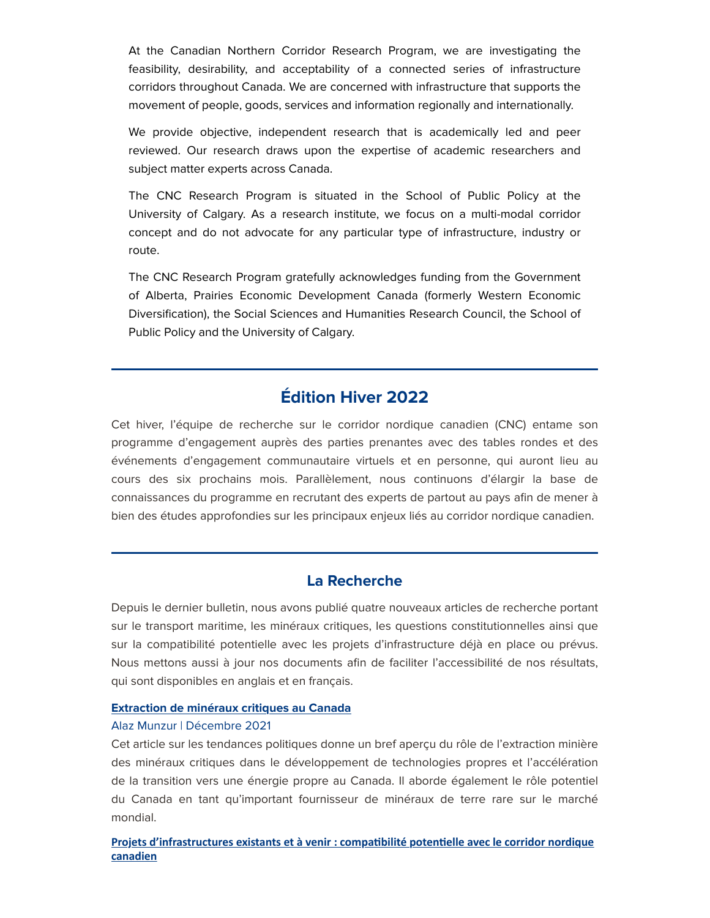At the Canadian Northern Corridor Research Program, we are investigating the feasibility, desirability, and acceptability of a connected series of infrastructure corridors throughout Canada. We are concerned with infrastructure that supports the movement of people, goods, services and information regionally and internationally.

We provide objective, independent research that is academically led and peer reviewed. Our research draws upon the expertise of academic researchers and subject matter experts across Canada.

The CNC Research Program is situated in the School of Public Policy at the University of Calgary. As a research institute, we focus on a multi-modal corridor concept and do not advocate for any particular type of infrastructure, industry or route.

The CNC Research Program gratefully acknowledges funding from the Government of Alberta, Prairies Economic Development Canada (formerly Western Economic Diversification), the Social Sciences and Humanities Research Council, the School of Public Policy and the University of Calgary.

# Édition Hiver 2022

Cet hiver, l'équipe de recherche sur le corridor nordique canadien (CNC) entame son programme d'engagement auprès des parties prenantes avec des tables rondes et des événements d'engagement communautaire virtuels et en personne, qui auront lieu au cours des six prochains mois. Parallèlement, nous continuons d'élargir la base de connaissances du programme en recrutant des experts de partout au pays afin de mener à bien des études approfondies sur les principaux enjeux liés au corridor nordique canadien.

## La Recherche

Depuis le dernier bulletin, nous avons publié quatre nouveaux articles de recherche portant sur le transport maritime, les minéraux critiques, les questions constitutionnelles ainsi que sur la compatibilité potentielle avec les projets d'infrastructure déjà en place ou prévus. Nous mettons aussi à jour nos documents afin de faciliter l'accessibilité de nos résultats, qui sont disponibles en anglais et en français.

## [Extraction de minéraux critiques au Canada](https://em.ucalgary.ca/ol/h09VcsPGdlhd6BYgutO1DPC0z3iYKMv76fEwRKa-hJ9pgQVuYOPLdQyi0IMGSsB0aPqZCAZNQ9ZlyQgFSqaGct0QvPBUDxy3VTLzme_dboFCdK1TycJg86-kynlLqdzEh1XIVB5XESY6MVXEL7wogT7sA4UuAlHXrC-QbdNlmTAcl7xZkNTt/jEhXdMXHL1lNoVdlsbPWNb760SXPdpGroq9-Afjp3oE92AdpYqHMN0_7jd1FU4ciaeafBRFfQcAzkUMJSK-7X9ISt9xTDVOzSy_tlaLOep9LPIR80Mhi5uWRymULrs7MgljKVkIFVE54aw3ARIsZnBHSab0XVlPS1U_gFKYCuwtQqbkMg5ikaKm-7VKy80Hr4jKfEXhNz5WkyW6EFqp5qPwAs1cw70cAV8LvtAD18Y0sgBxj5ftumFFE-OVfF-NY9jSMdXyx99vXY8kjdpaiyPDlu60TTSch2cgKKknfJGKWPY3KcyVI8AO1pTMXBgI,)

#### Alaz Munzur | Décembre 2021

Cet article sur les tendances politiques donne un bref aperçu du rôle de l'extraction minière des minéraux critiques dans le développement de technologies propres et l'accélération de la transition vers une énergie propre au Canada. Il aborde également le rôle potentiel du Canada en tant qu'important fournisseur de minéraux de terre rare sur le marché mondial.

**[Projets d'infrastructures existants et à venir : compa](https://em.ucalgary.ca/ol/h09SeMfJdlhd6BYgutO1DPC0z3iYKMv76fEwRKa-hJ9pgQVuYOPLdQyi0IMGSsB0aPqZCAZNQ9ZlyQgFSqaGct0QvPBUDxy3VTLzme_dboFCdK1TycJg86-kynlLqdzEh1XIVB5XESY6MVXEL7wogT7sA4UuAlHWqiKQZtJlmTAcl7xZkNTt/jElRecXMLllNoVdlsbPWNb760SXPdpGroq9-Afjp3oE92AdpYqHMN0_7jd1FU4ciaeafBRFfQcAzkkMIS6-7X9IXxdxTDVOzSy_tlaLOep9LPIRh08tk_Ly2500QpMeXgBGeR18KRi5hbxKifbAr2RDTCYgPalqqznKRYKgXvQkppJonjr6vdea-9Ga6_1Ln_jOLGV969eSy2nfoM7pYo80yrHIP6VwwaefhxR_l2-sQmxUK_MVN1Qx47-k_C8dxzSSjbjLE4aSgHfs6bZmT3dbRrKU7eBlnsacXbTycDQqUAYehXBB2oxmLrzQoCAhoCQdj)�bilité poten�elle avec le corridor nordique [canadien](https://em.ucalgary.ca/ol/h09SeMfJdlhd6BYgutO1DPC0z3iYKMv76fEwRKa-hJ9pgQVuYOPLdQyi0IMGSsB0aPqZCAZNQ9ZlyQgFSqaGct0QvPBUDxy3VTLzme_dboFCdK1TycJg86-kynlLqdzEh1XIVB5XESY6MVXEL7wogT7sA4UuAlHWqiKQZtJlmTAcl7xZkNTt/jElRecXMLllNoVdlsbPWNb760SXPdpGroq9-Afjp3oE92AdpYqHMN0_7jd1FU4ciaeafBRFfQcAzkkMIS6-7X9IXxdxTDVOzSy_tlaLOep9LPIRh08tk_Ly2500QpMeXgBGeR18KRi5hbxKifbAr2RDTCYgPalqqznKRYKgXvQkppJonjr6vdea-9Ga6_1Ln_jOLGV969eSy2nfoM7pYo80yrHIP6VwwaefhxR_l2-sQmxUK_MVN1Qx47-k_C8dxzSSjbjLE4aSgHfs6bZmT3dbRrKU7eBlnsacXbTycDQqUAYehXBB2oxmLrzQoCAhoCQdj)**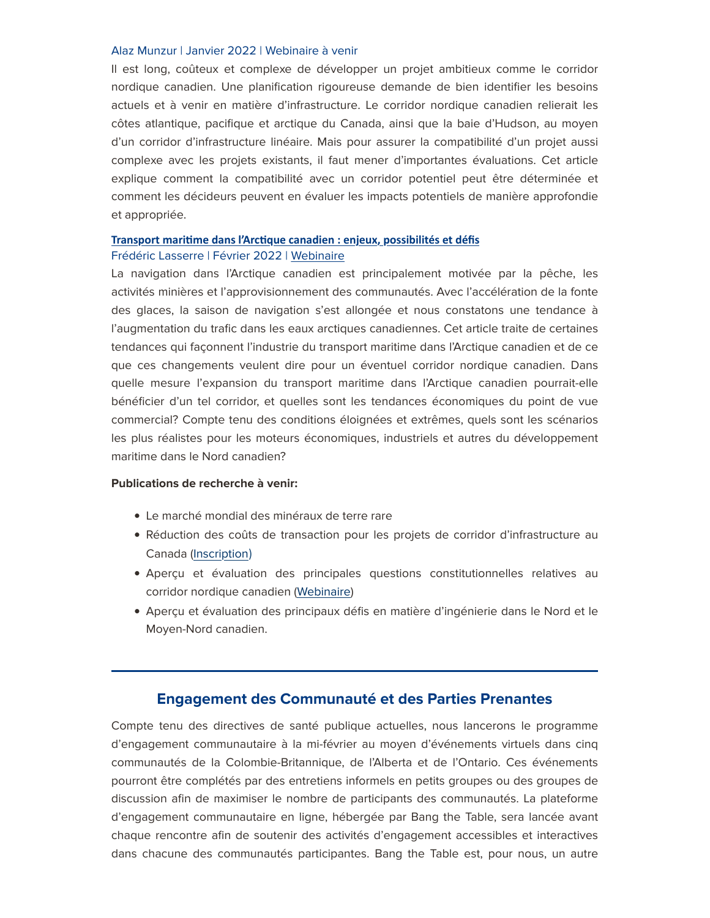#### Alaz Munzur | Janvier 2022 | Webinaire à venir

Il est long, coûteux et complexe de développer un projet ambitieux comme le corridor nordique canadien. Une planification rigoureuse demande de bien identifier les besoins actuels et à venir en matière d'infrastructure. Le corridor nordique canadien relierait les côtes atlantique, pacifique et arctique du Canada, ainsi que la baie d'Hudson, au moyen d'un corridor d'infrastructure linéaire. Mais pour assurer la compatibilité d'un projet aussi complexe avec les projets existants, il faut mener d'importantes évaluations. Cet article explique comment la compatibilité avec un corridor potentiel peut être déterminée et comment les décideurs peuvent en évaluer les impacts potentiels de manière approfondie et appropriée.

## **Transport maritime dans l'Arcti[que canadien : enjeux, possibilités et dé](https://em.ucalgary.ca/ol/h09Sd8fLdlhd6BYgutO1DPC0z3iYKMv76fEwRKa-hJ9pgQVuYOPLdQyi0IMGSsB0aPqZCAZNQ9ZlyQgFSqaGct0QvPBUDxy3VTLzme_dboFCdK1TycJg86-kynlLqdzEh1XIVB5XESY6MVXEL7wogT7sA4UuAlHXoy-SZdVlmTAcl7xZkNTt/jEhYdMfPKVlNoVdlsbPWNb760SXPdpGroq9-Afjp3oE92AdpYqHMN0_7jd1FU4ciaeafBRFfQcAzkkMISK-7X9IYxdhcGUi8XXbLkqDUfJ1BY6ByyMhu8ZeJ2XMWr8-QlxLcDUlRTXp4WxKSYuINsAT_HKV6cjeOqi7uAaYCvQkvpuUo0pr-d7yh4Xm21FbA6RiAM0BYzfGwvmOfPqFwqMQylEAo_kQhasbcwSyQ944WmC8Sz7RnmgV6u9d8OeRfyiOfeSHIvN3rG8dCY_iGs_KqruouPyQVspN8NkqADlW-Nq-qfnB79iqNhgwLNxRZHw,,)fis** Frédéric Lasserre | Février 2022 | [Webinaire](https://em.ucalgary.ca/ol/h09UccfPdlhd6BYgutO1DPC0z3iYKMv76fEwRKa-hJ9pgQVuYOPLdQyi0IMGSsB0aPqZCAZNQ9ZlyQgFSqaGct0QvPBUDxy3VTLzme_dboFCdK1TycJg86-kynlLqdzEh1XIVB5XESY6MVXEL7wogT7sA4UuAlLTry6ZZ95lmTAcl7xZkNTt/j0xUdczNIllNoVdlsbPWO6b4iyCOeJ3ngZUpJcPc_vwKihAhf-fbB1Xgg458KKsqSdzHLDYZQ8VO9C15O8GyX9hs_v0IAU6nQjHpobPcaqBAdqVW9fFKq5eG6lgfmc6xuV3AH1sJV1dGRh_KXI0TtTTOCsgzSBqSt1DPLKoUthgeorgvjsC4KZyY2j6U1lSe_iKJZGtf3dfJp3jtK5dnovIzuBMu72knbdnF5Rrw-w,,)

La navigation dans l'Arctique canadien est principalement motivée par la pêche, les activités minières et l'approvisionnement des communautés. Avec l'accélération de la fonte des glaces, la saison de navigation s'est allongée et nous constatons une tendance à l'augmentation du trafic dans les eaux arctiques canadiennes. Cet article traite de certaines tendances qui façonnent l'industrie du transport maritime dans l'Arctique canadien et de ce que ces changements veulent dire pour un éventuel corridor nordique canadien. Dans quelle mesure l'expansion du transport maritime dans l'Arctique canadien pourrait-elle bénéficier d'un tel corridor, et quelles sont les tendances économiques du point de vue commercial? Compte tenu des conditions éloignées et extrêmes, quels sont les scénarios les plus réalistes pour les moteurs économiques, industriels et autres du développement maritime dans le Nord canadien?

#### Publications de recherche à venir:

- Le marché mondial des minéraux de terre rare
- Réduction des coûts de transaction pour les projets de corridor d'infrastructure au Canada [\(Inscription](https://em.ucalgary.ca/ol/h09UcMTHdlhd6BYgutO1DPC0z3iYKMv76fEwRKa-hJ9pgQVuYOPLdQyi0IMGSsB0aPqZCAZNQ9ZlyQgFSqaGct0QvPBUDxy3VTLzme_dboFCdK1TycJg86-kynlLqdzEh1XIVB5XESY6MVXEL7wogT7sA4UuAlHVoiKRY9FlmTAcl7xZkNTt/jEpZecTJLVlNoVdlsbPWNb760SXPdpGroq9-Afjp3oE92Ad7ZOnBLFKgmtZVCZE7a-7TFRARHYNgwxhRFe7Yf49T7uYQBE__UTX5kqDJe59bcqBmzsQs_Ke3ymkBpc_Pgk7DA0oNVGIhbQjQar4uhTnmf88uVBe47nTKaKoXpTAksOQp4pv7KJyA2lKB1GPltBmKPAR369SB4EqdHp9vttkGrmQN2HtyQsPE2y_00Y8OqCot4etgqzZN76tHEvpZ6TqzBjT0_Zq1ZOZ3b4KYoPTVudZxPQ1jpKkPNlryOQOhGI3IQwBI50HBsmQfPzZXAwJdW-UpqxGVhEhcWNw3))
- Aperçu et évaluation des principales questions constitutionnelles relatives au corridor nordique canadien [\(Webinaire\)](https://em.ucalgary.ca/ol/h09UdMfJdlhd6BYgutO1DPC0z3iYKMv76fEwRKa-hJ9pgQVuYOPLdQyi0IMGSsB0aPqZCAZNQ9ZlyQgFSqaGct0QvPBUDxy3VTLzme_dboFCdK1TycJg86-kynlLqdzEh1XIVB5XESY6MVXEL7wogT7sA4UuAlLTrCKSYtBlmTAcl7xZkNTt/j0xXecfILFlNoVdlsbPWO6b4iyCOeJ3nmIpHIs3Q_8MK8Vshf-fbB1Xgg458KKsqSdzHLDYZQ8VO9C15O8GyX9hs_v0IAU6nQjHpobPcaqBAdqVW9fFKq5eG6lgfmc6xuV3AH1sJV1dGRh_KXI0TtTTOCsgzSBqSt1DPLKoUthgeorgvjsC4KZyY2j6U1lSe_iKJZGtf3dfJp3jtK5dnovIzuBMu72knbdnF5Rrw-w,,)
- Aperçu et évaluation des principaux défis en matière d'ingénierie dans le Nord et le Moyen-Nord canadien.

## Engagement des Communauté et des Parties Prenantes

Compte tenu des directives de santé publique actuelles, nous lancerons le programme d'engagement communautaire à la mi-février au moyen d'événements virtuels dans cinq communautés de la Colombie-Britannique, de l'Alberta et de l'Ontario. Ces événements pourront être complétés par des entretiens informels en petits groupes ou des groupes de discussion afin de maximiser le nombre de participants des communautés. La plateforme d'engagement communautaire en ligne, hébergée par Bang the Table, sera lancée avant chaque rencontre afin de soutenir des activités d'engagement accessibles et interactives dans chacune des communautés participantes. Bang the Table est, pour nous, un autre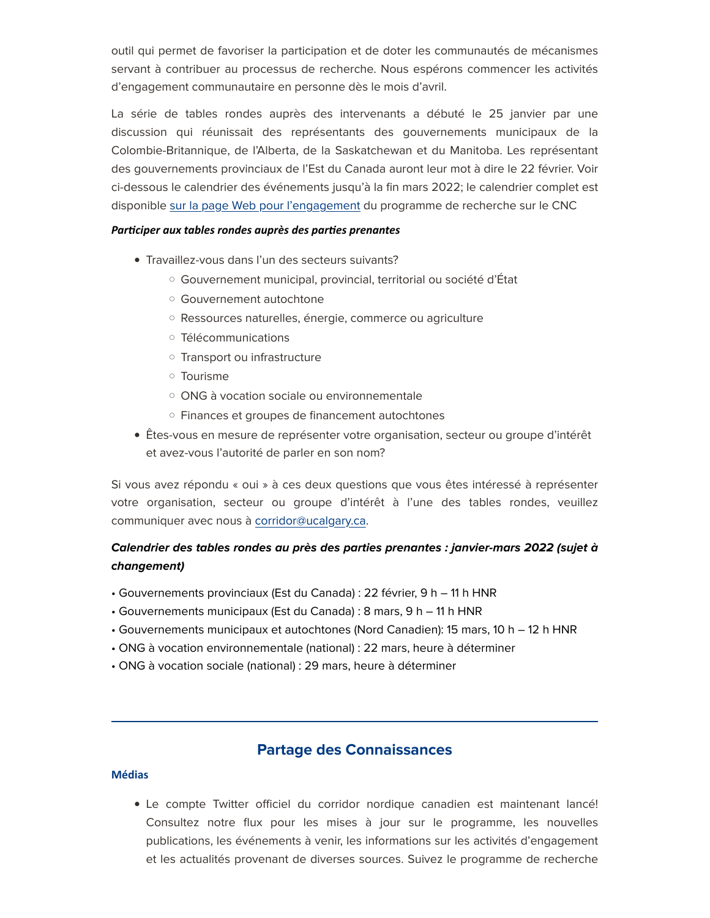outil qui permet de favoriser la participation et de doter les communautés de mécanismes servant à contribuer au processus de recherche. Nous espérons commencer les activités d'engagement communautaire en personne dès le mois d'avril.

La série de tables rondes auprès des intervenants a débuté le 25 janvier par une discussion qui réunissait des représentants des gouvernements municipaux de la Colombie-Britannique, de l'Alberta, de la Saskatchewan et du Manitoba. Les représentant des gouvernements provinciaux de l'Est du Canada auront leur mot à dire le 22 février. Voir ci-dessous le calendrier des événements jusqu'à la fin mars 2022; le calendrier complet est disponible [sur la page Web pour l'engagement](https://em.ucalgary.ca/ol/h09VeczJdlhd6BYgutO1DPC0z3iYKMv76fEwRKa-hJ9pgQVuYOPLdQyi0IMGSsB0aPqZCAZNQ9ZlyQgFSqaGct0QvPBUDxy3VTLzme_dboFCdK1TycJg86-kynlLqdzEh1XIVB5XESY6MVXEL7wogT7sA4UuAlLfriuUYtBlmTAcl7xZkNTt/j0BVcMHILFlNoVdlsbPWNb760TbBdJmssr1zCvj0wMY61lowce2ALEnqxcFUD5czd-qWTBICHJdzwQEXH-6SfYdF9_BTHw7tVTDrv7XVZNBjRY1r8PQ40pysiDUqnvyjs33rKhciRHk5bgmIc7U2pS_hNb0tWBKi00vqYbgArhAStq43_ZOna6ez7FWK112R2Qe9BVhU3pmL_UWpQbJkgvo2lXEyz1UNJbLltxrr4_ERijZj5_tw3SZNz-ogbe05xx2EZwHR493ySNFvUoyBls3FhQ,,) du programme de recherche sur le CNC

## *Par�ciper aux tables rondes auprès des par�es prenantes*

- Travaillez-vous dans l'un des secteurs suivants?
	- Gouvernement municipal, provincial, territorial ou société d'État
	- Gouvernement autochtone
	- Ressources naturelles, énergie, commerce ou agriculture
	- Télécommunications
	- Transport ou infrastructure
	- Tourisme
	- ONG à vocation sociale ou environnementale
	- Finances et groupes de financement autochtones
- Êtes-vous en mesure de représenter votre organisation, secteur ou groupe d'intérêt et avez-vous l'autorité de parler en son nom?

Si vous avez répondu « oui » à ces deux questions que vous êtes intéressé à représenter votre organisation, secteur ou groupe d'intérêt à l'une des tables rondes, veuillez communiquer avec nous à [corridor@ucalgary.ca.](https://em.ucalgary.ca/ol/h09Ud8zIdlhd6BYgutO1DPC0z3iYKMv76fEwRKa-hJ9pgQVuYOPLdQyi0IMGSsB0aPqZCAZNQ9ZlyQgFSqaGct0QvPBUDxy3VTLzme_dboFCdK1TycJg86-kynlLqdzEh1XIVB5XESY6MVXEL7wogT7sA4UuAlLToiOZY9JlmTAcl7xZkNTt/j0xZeMzJLlxYvEti5KaaLbv_ljHPaLi9uL1xDvb0y4E92BdzefjwLE7k1f5lJYoeULCzNQtARr9V4S15O8e2JKxE8qBXBFSoUi3ekqffQoNJYJFa7Oo1wIuX4Ho2ue6pk1DaHUgZZltOfVGoW4wRjRTdaIA0RhbK0XXYGLAJrD4vgJZchIH_Up-VtkeD5RzU-zLeDnNE8pPWzg2bApRTvuUG7Usj0VE2RNPwzAL-)

# Calendrier des tables rondes au près des parties prenantes : janvier-mars 2022 (sujet à changement)

- Gouvernements provinciaux (Est du Canada) : 22 février, 9 h 11 h HNR
- Gouvernements municipaux (Est du Canada) : 8 mars, 9 h 11 h HNR
- Gouvernements municipaux et autochtones (Nord Canadien): 15 mars, 10 h 12 h HNR
- ONG à vocation environnementale (national) : 22 mars, heure à déterminer
- ONG à vocation sociale (national) : 29 mars, heure à déterminer

# Partage des Connaissances

## **Médias**

• Le compte Twitter officiel du corridor nordique canadien est maintenant lancé! Consultez notre flux pour les mises à jour sur le programme, les nouvelles publications, les événements à venir, les informations sur les activités d'engagement et les actualités provenant de diverses sources. Suivez le programme de recherche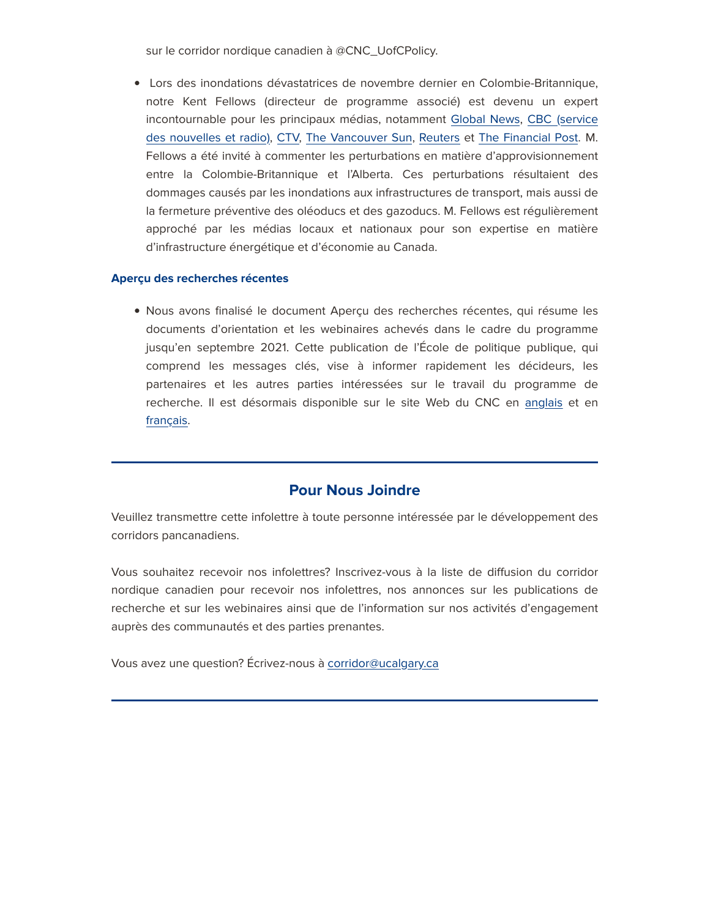sur le corridor nordique canadien à @CNC\_UofCPolicy.

• Lors des inondations dévastatrices de novembre dernier en Colombie-Britannique, notre Kent Fellows (directeur de programme associé) est devenu un expert incontournable pour les principaux médias, notamment [Global News,](https://em.ucalgary.ca/ol/h09VcMPNdlhd6BYgutO1DPC0z3iYKMv76fEwRKa-hJ9pgQVuYOPLdQyi0IMGSsB0aPqZCAZNQ9ZlyQgFSqaGct0QvPBUDxy3VTLzme_dboFCdK1TycJg86-kynlLqdzEh1XIVB5XESY6MVXEL7wogT7sA4UuAlLeriqRbddlmTAcl7xZkNTt/j0FVccTHK1lNoVdlsbPWJaXinTTMdJ2_qPJ-CLjo19gtlhAtKryeaBmgitAcGp49au2XDwVdFZ9uxEFfG_PYb4hP6OFcDEShFSjqkLHWdsBNebV60o4-8qOx53QKoYCvpmXUJXpXbUVlNFOyXZ4BpRzAE8gPWwvS8HTUL401vToOgJAK0YOOVIOfr0yDx3zc3ya9H1Bx8tWc_XqWLoA9ruUyjkgN0gg2avnjrh7J25ESgxYt0ulc1U58otNeAYRcwwPRTDPktLXadv48D5Hjt-z_hdgbaEw9jLwva1fiL3SENg,,) [CBC \(service](https://em.ucalgary.ca/ol/h09Sd8bMdlhd6BYgutO1DPC0z3iYKMv76fEwRKa-hJ9pgQVuYOPLdQyi0IMGSsB0aPqZCAZNQ9ZlyQgFSqaGct0QvPBUDxy3VTLzme_dboFCdK1TycJg86-kynlLqdzEh1XIVB5XESY6MVXEL7wogT7sA4UuAlHXriuQYN9lmTAcl7xZkNTt/jEhVcMXKI1lNoVdlsbPWNb760TbCedaruvNzDOD1ncw_10l6c6PMOU3oicFIU5B_ZqSYDQ0fF5lvx0FcE_OUb5RF6LhOHlGiVCKyg6nbZoMDcLhx2dN1_uX0ljZX_4_RywmTBEQaf2Vjb1uwXYY4qAi-HaQqD1aozlrgFKYEv3AkgbVR3J2-Z7mi2mGm8GnI6ySrHWFWsP642GSmP4pZsNYNqVUj_3YMX_mh1gf087UMk34r4vViwDdh79FFCvl-xxaiBnbwsKDUbqVaYaXqgvX17McLVghlxqF_XGDcEH6BCNiSfhtw4Sq_kBoPCA,,) [des nouvelles et radio\),](https://em.ucalgary.ca/ol/h09Sd8bMdlhd6BYgutO1DPC0z3iYKMv76fEwRKa-hJ9pgQVuYOPLdQyi0IMGSsB0aPqZCAZNQ9ZlyQgFSqaGct0QvPBUDxy3VTLzme_dboFCdK1TycJg86-kynlLqdzEh1XIVB5XESY6MVXEL7wogT7sA4UuAlHXriuQYN9lmTAcl7xZkNTt/jEhVcMXKI1lNoVdlsbPWNb760TbCedaruvNzDOD1ncw_10l6c6PMOU3oicFIU5B_ZqSYDQ0fF5lvx0FcE_OUb5RF6LhOHlGiVCKyg6nbZoMDcLhx2dN1_uX0ljZX_4_RywmTBEQaf2Vjb1uwXYY4qAi-HaQqD1aozlrgFKYEv3AkgbVR3J2-Z7mi2mGm8GnI6ySrHWFWsP642GSmP4pZsNYNqVUj_3YMX_mh1gf087UMk34r4vViwDdh79FFCvl-xxaiBnbwsKDUbqVaYaXqgvX17McLVghlxqF_XGDcEH6BCNiSfhtw4Sq_kBoPCA,,) [CTV,](https://em.ucalgary.ca/ol/h09VdcDHdlhd6BYgutO1DPC0z3iYKMv76fEwRKa-hJ9pgQVuYOPLdQyi0IMGSsB0aPqZCAZNQ9ZlyQgFSqaGct0QvPBUDxy3VTLzme_dboFCdK1TycJg86-kynlLqdzEh1XIVB5XESY6MVXEL7wogT7sA4UuAlLRri-VYdJlmTAcl7xZkNTt/j05VdMDLLllNoVdlsbPWJ63gkDvUdZbmuKhrB_LxwYE92Adoe-jKNx7shNpBNZZvN7rMVVJJRNZsyxhnDu-eIa10w-1xPhifbDKv1Y7uTqxvUJNQhO1l9_2v13UfoMujgFrJJEEJUVRFVC3JVpwSvCfUI6MIXg-R7nzWE60BhX89t44137uRJaOj4mbt3krfwQKkBEda4erDuE_oI7VL1uMirxk2_1d2R8LP9WeK5u0CpysC0N5w3xZoz_1iGfpuzySw) [The Vancouver Sun,](https://em.ucalgary.ca/ol/h09VecbGdlhd6BYgutO1DPC0z3iYKMv76fEwRKa-hJ9pgQVuYOPLdQyi0IMGSsB0aPqZCAZNQ9ZlyQgFSqaGct0QvPBUDxy3VTLzme_dboFCdK1TycJg86-kynlLqdzEh1XIVB5XESY6MVXEL7wogT7sA4UuAlHUoy6SYNJlmTAcl7xZkNTt/jEtYdcfKLllNoVdlsbPWNKjjnDrVbJ26qKlzR_Tp34A8zFt3fOncKw79jdVYEpcgfKSKCQMEXoN00BxUE-WGMYVT7vxQClW3XHbwjqSXe4VHY7A-08cs86ey3XJIp9yLnFDNB0tDR3B_KRSIZ6xtiyjzfZ8lEgCV73_EeIgqkHcFjqk7wp2gIJ6AwmuMwB3r2DzeYX5JxeC6y3ufVLVuk4ILsFQ-4kYHb-bzzjvA05kMmQ1vys9FtQZc5c9ZIcV-9BSeeA7B_djNfdtfS5yIyPLlpehkRBAuprIES3j2LHDrXZnMVg5QvCevhm0qJjw-HBJjH71jtkGis3ZjUtkJFCqzoSgz_Vwn-p9g) [Reuters](https://em.ucalgary.ca/ol/h09VdcfGdlhd6BYgutO1DPC0z3iYKMv76fEwRKa-hJ9pgQVuYOPLdQyi0IMGSsB0aPqZCAZNQ9ZlyQgFSqaGct0QvPBUDxy3VTLzme_dboFCdK1TycJg86-kynlLqdzEh1XIVB5XESY6MVXEL7wogT7sA4UuAlHTriORYNJlmTAcl7xZkNTt/jExVeMTKLllNoVdlsbPWNb760SfFb4ytqa8zCvjrndgxy0R6Pe3CPVPmi9JCU4I7deySCAwVXpZo0gFLV_OWboFN-PlYRlO3Sy_wkqSXfIhcZ71w2Yxg-bygyi0HuNSWm0_EREwBTGRhZg-cJLksizLjI90kXhDK6mnINoIw0XpY1-xJh8PmLOT7pH6r4XvS4z7TGWVE_O2us3GIBck_tOMgnmAFz3N-UeT-tj_I16Yvvwcp8-lagxt-09VCC51XwyGxRBfw16T5Q_56RaKUusDr68gbXC8-or92a3nIPBaYAZO1TghB5zSJvW1qIm9BChEXPcw-ygKSuitgVdIYFG2QyQ4tyVYE568L1I7BsD-oW37FCBk,) et [The Financial Post.](https://em.ucalgary.ca/ol/h09SecTLdlhd6BYgutO1DPC0z3iYKMv76fEwRKa-hJ9pgQVuYOPLdQyi0IMGSsB0aPqZCAZNQ9ZlyQgFSqaGct0QvPBUDxy3VTLzme_dboFCdK1TycJg86-kynlLqdzEh1XIVB5XESY6MVXEL7wogT7sA4UuAlHSriuSZd9lmTAcl7xZkNTt/jE1VcMfPI1lNoVdlsbPWJKDjnjvDc5mkq7NuHbnl3cJx101pYaPKO07hh95IU5B_ZqSYDQ0fF5lvx0FbFfWZeM1C_7heCk-zXDrszaLVfJlCeLFgyIxl9ruky3QAuJCDgRHPHFtDT3dqKRaSe6ttizuqJpEtXAyS7H7TeJQtnToElvAXw4K7car5-Huh_EqZ4T6aC0Vy75y23mWkIKwztuMI7xQL3HEHXMHRwG3rxrRwoyku7-ZhrA5p89F8J9hNySOiChvA1rfifPtdabS-hvb1q9sDTQdgvrcdSmf4EwOjGJONNAl_6D67vAUuFj5FfmJJXcACs12xnmsCZfwJFhqWoT9xiUtw8qZU56zKtn2bb0HrLxnNpz-c8g,,) M. Fellows a été invité à commenter les perturbations en matière d'approvisionnement entre la Colombie-Britannique et l'Alberta. Ces perturbations résultaient des dommages causés par les inondations aux infrastructures de transport, mais aussi de la fermeture préventive des oléoducs et des gazoducs. M. Fellows est régulièrement approché par les médias locaux et nationaux pour son expertise en matière d'infrastructure énergétique et d'économie au Canada.

## Aperçu des recherches récentes

• Nous avons finalisé le document Aperçu des recherches récentes, qui résume les documents d'orientation et les webinaires achevés dans le cadre du programme jusqu'en septembre 2021. Cette publication de l'École de politique publique, qui comprend les messages clés, vise à informer rapidement les décideurs, les partenaires et les autres parties intéressées sur le travail du programme de recherche. Il est désormais disponible sur le site Web du CNC en [anglais](https://em.ucalgary.ca/ol/h09VdcDLdlhd6BYgutO1DPC0z3iYKMv76fEwRKa-hJ9pgQVuYOPLdQyi0IMGSsB0aPqZCAZNQ9ZlyQgFSqaGct0QvPBUDxy3VTLzme_dboFCdK1TycJg86-kynlLqdzEh1XIVB5XESY6MVXEL7wogT7sA4UuAlLQqi6TYd5lmTAcl7xZkNTt/j09RdcbLIllNoVdlsbPWNb760TbBdJmssr1zCvj0wMY61lowce2AOVL8jcdCU7ccWsqwIk8iIb8v0AheRe2eaL9U9f4AJnWLQBfK2YzuZt0bXoBS_eBA2Iv99GQN_9eNh0bGH24cRnRBagGMTJYQr2nYE6IbRTCUyVDAOZE3mz8ur58dgaeZToK90kn45VPf-XilOkhQ0-ur_Hu5J8E4iIMuk2Bp3HM2JfLh5GX94IUz-2sfpMt5gCVKxPsgKs5R4QOwbSLM07Y,) et en [français.](https://em.ucalgary.ca/ol/h09VccHOdlhd6BYgutO1DPC0z3iYKMv76fEwRKa-hJ9pgQVuYOPLdQyi0IMGSsB0aPqZCAZNQ9ZlyQgFSqaGct0QvPBUDxy3VTLzme_dboFCdK1TycJg86-kynlLqdzEh1XIVB5XESY6MVXEL7wogT7sA4UuAlLQqi6WYddlmTAcl7xZkNTt/j09RdcPLK1lNoVdlsbPWNb760TbBdJmssr1zCvj0wMY61lowce2AOVL8jcdCU7QAWsqwIk8iIb8v0AheRe2eaL9U9f4AJnWLQBfK2YzuZt0bXoBS_eBA2Iv99GQN_9eNh0bGH24cRnRBagGMTJYQr2nYE6IbRTCUyVDAOZE3mz8ur58dgaeZToK90kn45VPf-XilOkhQ0-ur_Hu5J8E4iIMuk2Bp3HM2JfLh5GX94IUz-2sfpMt5gCVKxPsgKs5R4QOwbSLM07Y,)

# Pour Nous Joindre

Veuillez transmettre cette infolettre à toute personne intéressée par le développement des corridors pancanadiens.

Vous souhaitez recevoir nos infolettres? Inscrivez-vous à la liste de diffusion du corridor nordique canadien pour recevoir nos infolettres, nos annonces sur les publications de recherche et sur les webinaires ainsi que de l'information sur nos activités d'engagement auprès des communautés et des parties prenantes.

Vous avez une question? Écrivez-nous à [corridor@ucalgary.ca](https://em.ucalgary.ca/ol/h09XccPPdlhd6BYgutO1DPC0z3iYKMv76fEwRKa-hJ9pgQVuYOPLdQyi0IMGSsB0aPqZCAZNQ9ZlyQgFSqaGct0QvPBUDxy3VTLzme_dboFCdK1TycJg86-kynlLqdzEh1XIVB5XESY6MVXEL7wogT7sA4UuAlLToiOZYt9lmTAcl7xZkNTt/j0xZeMzII1xYvEti5KaaLbv_ljHPaLi9uL1xDvb0y4E92BdzefjwLE7k1f5lJYoeULCzNQtARr9V4S15O8e2JKxE8qBXBFSoUi3ekqffQoNJYJFa7Oo1wIuX4Ho2ue6pk1DaHUgZZltOfVGoW4wRjRTdaIA0RhbK0XXYGLAJrD4vgJZchIH_Up-VtkeD5RzU-zLeDnNE8pPWzg2bApRTvuUG7Usj0VE2RNPwzAL-)